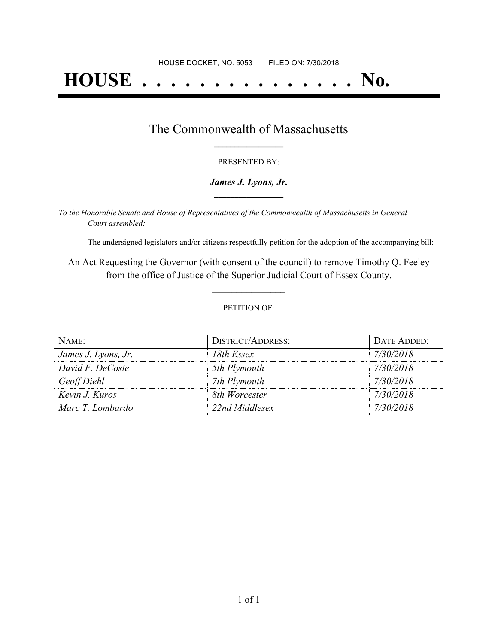# **HOUSE . . . . . . . . . . . . . . . No.**

### The Commonwealth of Massachusetts **\_\_\_\_\_\_\_\_\_\_\_\_\_\_\_\_\_**

#### PRESENTED BY:

#### *James J. Lyons, Jr.* **\_\_\_\_\_\_\_\_\_\_\_\_\_\_\_\_\_**

*To the Honorable Senate and House of Representatives of the Commonwealth of Massachusetts in General Court assembled:*

The undersigned legislators and/or citizens respectfully petition for the adoption of the accompanying bill:

An Act Requesting the Governor (with consent of the council) to remove Timothy Q. Feeley from the office of Justice of the Superior Judicial Court of Essex County.

**\_\_\_\_\_\_\_\_\_\_\_\_\_\_\_**

#### PETITION OF:

| NAME:               | DISTRICT/ADDRESS: | DATE ADDED: |
|---------------------|-------------------|-------------|
| James J. Lyons, Jr. | 18th Essex        | 7/30/2018   |
| David F. DeCoste    | 5th Plymouth      | 7/30/2018   |
| Geoff Diehl         | 7th Plymouth      | 7/30/2018   |
| Kevin J. Kuros      | 8th Worcester     | 7/30/2018   |
| Marc T. Lombardo    | 22nd Middlesex    | 7/30/2018   |